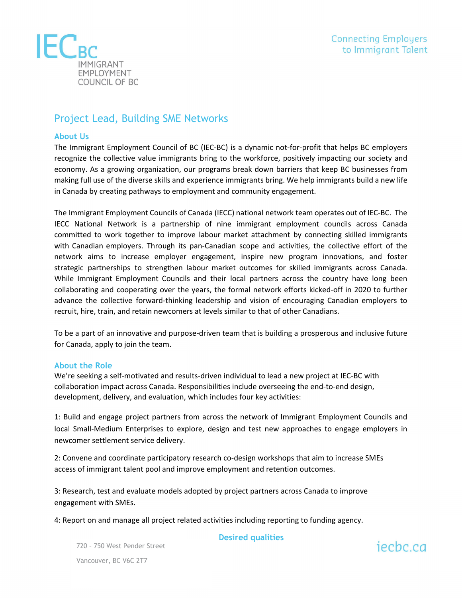

# Project Lead, Building SME Networks

# **About Us**

The Immigrant Employment Council of BC (IEC-BC) is a dynamic not-for-profit that helps BC employers recognize the collective value immigrants bring to the workforce, positively impacting our society and economy. As a growing organization, our programs break down barriers that keep BC businesses from making full use of the diverse skills and experience immigrants bring. We help immigrants build a new life in Canada by creating pathways to employment and community engagement.

The Immigrant Employment Councils of Canada (IECC) national network team operates out of IEC-BC. The IECC National Network is a partnership of nine immigrant employment councils across Canada committed to work together to improve labour market attachment by connecting skilled immigrants with Canadian employers. Through its pan-Canadian scope and activities, the collective effort of the network aims to increase employer engagement, inspire new program innovations, and foster strategic partnerships to strengthen labour market outcomes for skilled immigrants across Canada. While Immigrant Employment Councils and their local partners across the country have long been collaborating and cooperating over the years, the formal network efforts kicked-off in 2020 to further advance the collective forward-thinking leadership and vision of encouraging Canadian employers to recruit, hire, train, and retain newcomers at levels similar to that of other Canadians.

To be a part of an innovative and purpose-driven team that is building a prosperous and inclusive future for Canada, apply to join the team.

## **About the Role**

We're seeking a self-motivated and results-driven individual to lead a new project at IEC-BC with collaboration impact across Canada. Responsibilities include overseeing the end-to-end design, development, delivery, and evaluation, which includes four key activities:

1: Build and engage project partners from across the network of Immigrant Employment Councils and local Small-Medium Enterprises to explore, design and test new approaches to engage employers in newcomer settlement service delivery.

2: Convene and coordinate participatory research co-design workshops that aim to increase SMEs access of immigrant talent pool and improve employment and retention outcomes.

3: Research, test and evaluate models adopted by project partners across Canada to improve engagement with SMEs.

4: Report on and manage all project related activities including reporting to funding agency.

**Desired qualities**

720 – 750 West Pender Street Vancouver, BC V6C 2T7

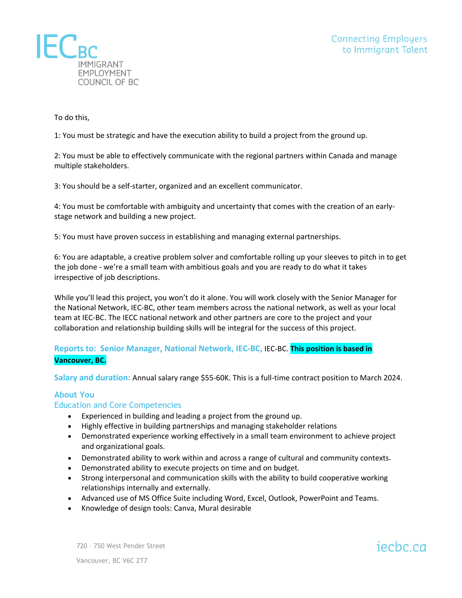

To do this,

1: You must be strategic and have the execution ability to build a project from the ground up.

2: You must be able to effectively communicate with the regional partners within Canada and manage multiple stakeholders.

3: You should be a self-starter, organized and an excellent communicator.

4: You must be comfortable with ambiguity and uncertainty that comes with the creation of an earlystage network and building a new project.

5: You must have proven success in establishing and managing external partnerships.

6: You are adaptable, a creative problem solver and comfortable rolling up your sleeves to pitch in to get the job done - we're a small team with ambitious goals and you are ready to do what it takes irrespective of job descriptions.

While you'll lead this project, you won't do it alone. You will work closely with the Senior Manager for the National Network, IEC-BC, other team members across the national network, as well as your local team at IEC-BC. The IECC national network and other partners are core to the project and your collaboration and relationship building skills will be integral for the success of this project.

# **Reports to: Senior Manager, National Network, IEC-BC,** IEC-BC. **This position is based in Vancouver, BC.**

**Salary and duration:** Annual salary range \$55-60K. This is a full-time contract position to March 2024.

# **About You**

## Education and Core Competencies

- Experienced in building and leading a project from the ground up.
- Highly effective in building partnerships and managing stakeholder relations
- Demonstrated experience working effectively in a small team environment to achieve project and organizational goals.
- Demonstrated ability to work within and across a range of cultural and community contexts.
- Demonstrated ability to execute projects on time and on budget.
- Strong interpersonal and communication skills with the ability to build cooperative working relationships internally and externally.
- Advanced use of MS Office Suite including Word, Excel, Outlook, PowerPoint and Teams.
- Knowledge of design tools: Canva, Mural desirable

720 – 750 West Pender Street

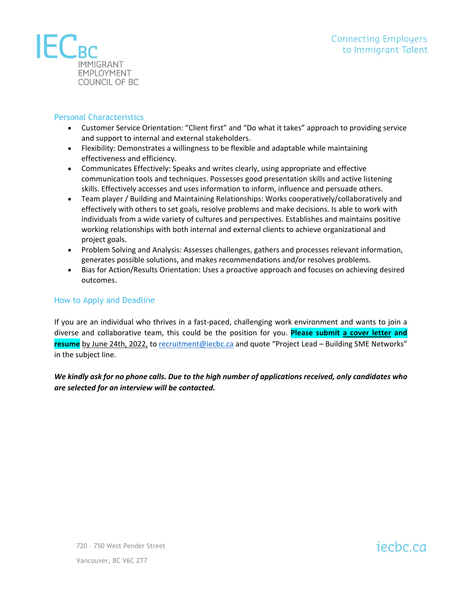

# Personal Characteristics

- Customer Service Orientation: "Client first" and "Do what it takes" approach to providing service and support to internal and external stakeholders.
- Flexibility: Demonstrates a willingness to be flexible and adaptable while maintaining effectiveness and efficiency.
- Communicates Effectively: Speaks and writes clearly, using appropriate and effective communication tools and techniques. Possesses good presentation skills and active listening skills. Effectively accesses and uses information to inform, influence and persuade others.
- Team player / Building and Maintaining Relationships: Works cooperatively/collaboratively and effectively with others to set goals, resolve problems and make decisions. Is able to work with individuals from a wide variety of cultures and perspectives. Establishes and maintains positive working relationships with both internal and external clients to achieve organizational and project goals.
- Problem Solving and Analysis: Assesses challenges, gathers and processes relevant information, generates possible solutions, and makes recommendations and/or resolves problems.
- Bias for Action/Results Orientation: Uses a proactive approach and focuses on achieving desired outcomes.

## How to Apply and Deadline

If you are an individual who thrives in a fast-paced, challenging work environment and wants to join a diverse and collaborative team, this could be the position for you. **Please submit a cover letter and resume** by June 24th, 2022, t[o recruitment@iecbc.ca](mailto:recruitment@iecbc.ca) and quote "Project Lead – Building SME Networks" in the subject line.

*We kindly ask for no phone calls. Due to the high number of applications received, only candidates who are selected for an interview will be contacted.*